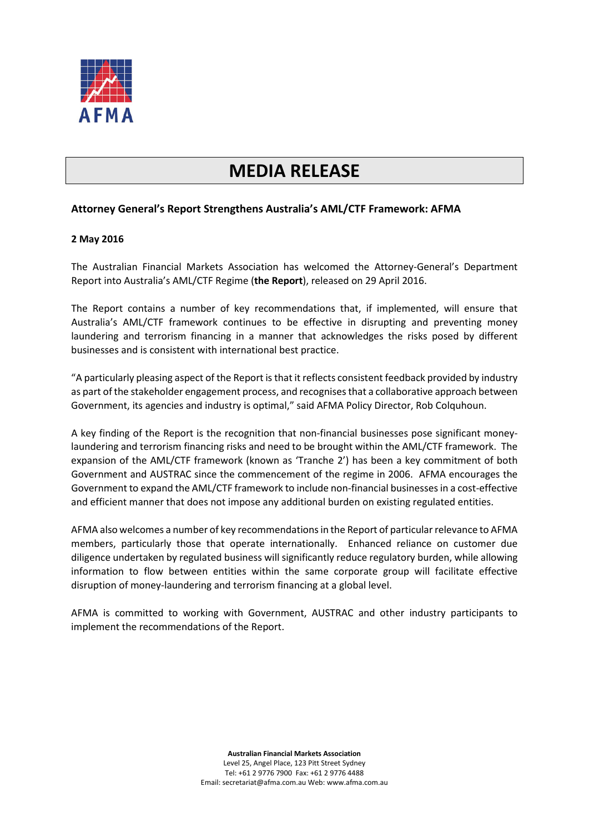

## **MEDIA RELEASE**

## **Attorney General's Report Strengthens Australia's AML/CTF Framework: AFMA**

## **2 May 2016**

The Australian Financial Markets Association has welcomed the Attorney-General's Department Report into Australia's AML/CTF Regime (**the Report**), released on 29 April 2016.

The Report contains a number of key recommendations that, if implemented, will ensure that Australia's AML/CTF framework continues to be effective in disrupting and preventing money laundering and terrorism financing in a manner that acknowledges the risks posed by different businesses and is consistent with international best practice.

"A particularly pleasing aspect of the Report is that it reflects consistent feedback provided by industry as part of the stakeholder engagement process, and recognises that a collaborative approach between Government, its agencies and industry is optimal," said AFMA Policy Director, Rob Colquhoun.

A key finding of the Report is the recognition that non-financial businesses pose significant moneylaundering and terrorism financing risks and need to be brought within the AML/CTF framework. The expansion of the AML/CTF framework (known as 'Tranche 2') has been a key commitment of both Government and AUSTRAC since the commencement of the regime in 2006. AFMA encourages the Government to expand the AML/CTF framework to include non-financial businesses in a cost-effective and efficient manner that does not impose any additional burden on existing regulated entities.

AFMA also welcomes a number of key recommendations in the Report of particular relevance to AFMA members, particularly those that operate internationally. Enhanced reliance on customer due diligence undertaken by regulated business will significantly reduce regulatory burden, while allowing information to flow between entities within the same corporate group will facilitate effective disruption of money-laundering and terrorism financing at a global level.

AFMA is committed to working with Government, AUSTRAC and other industry participants to implement the recommendations of the Report.